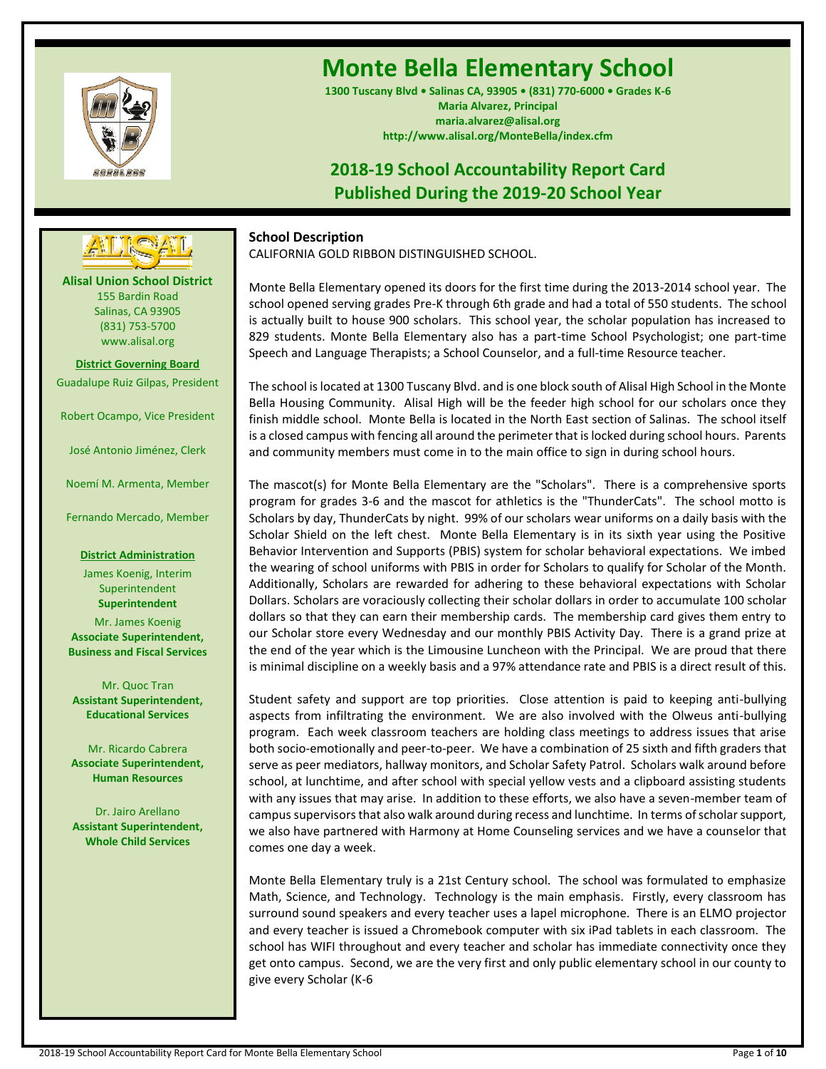

# **Monte Bella Elementary School**

**1300 Tuscany Blvd • Salinas CA, 93905 • (831) 770-6000 • Grades K-6 Maria Alvarez, Principal maria.alvarez@alisal.org http://www.alisal.org/MonteBella/index.cfm**

## **2018-19 School Accountability Report Card Published During the 2019-20 School Year**



## **School Description**

CALIFORNIA GOLD RIBBON DISTINGUISHED SCHOOL.

Monte Bella Elementary opened its doors for the first time during the 2013-2014 school year. The school opened serving grades Pre-K through 6th grade and had a total of 550 students. The school is actually built to house 900 scholars. This school year, the scholar population has increased to 829 students. Monte Bella Elementary also has a part-time School Psychologist; one part-time Speech and Language Therapists; a School Counselor, and a full-time Resource teacher.

The school is located at 1300 Tuscany Blvd. and is one block south of Alisal High School in the Monte Bella Housing Community. Alisal High will be the feeder high school for our scholars once they finish middle school. Monte Bella is located in the North East section of Salinas. The school itself is a closed campus with fencing all around the perimeter that is locked during school hours. Parents and community members must come in to the main office to sign in during school hours.

The mascot(s) for Monte Bella Elementary are the "Scholars". There is a comprehensive sports program for grades 3-6 and the mascot for athletics is the "ThunderCats". The school motto is Scholars by day, ThunderCats by night. 99% of our scholars wear uniforms on a daily basis with the Scholar Shield on the left chest. Monte Bella Elementary is in its sixth year using the Positive Behavior Intervention and Supports (PBIS) system for scholar behavioral expectations. We imbed the wearing of school uniforms with PBIS in order for Scholars to qualify for Scholar of the Month. Additionally, Scholars are rewarded for adhering to these behavioral expectations with Scholar Dollars. Scholars are voraciously collecting their scholar dollars in order to accumulate 100 scholar dollars so that they can earn their membership cards. The membership card gives them entry to our Scholar store every Wednesday and our monthly PBIS Activity Day. There is a grand prize at the end of the year which is the Limousine Luncheon with the Principal. We are proud that there is minimal discipline on a weekly basis and a 97% attendance rate and PBIS is a direct result of this.

Student safety and support are top priorities. Close attention is paid to keeping anti-bullying aspects from infiltrating the environment. We are also involved with the Olweus anti-bullying program. Each week classroom teachers are holding class meetings to address issues that arise both socio-emotionally and peer-to-peer. We have a combination of 25 sixth and fifth graders that serve as peer mediators, hallway monitors, and Scholar Safety Patrol. Scholars walk around before school, at lunchtime, and after school with special yellow vests and a clipboard assisting students with any issues that may arise. In addition to these efforts, we also have a seven-member team of campus supervisors that also walk around during recess and lunchtime. In terms of scholar support, we also have partnered with Harmony at Home Counseling services and we have a counselor that comes one day a week.

Monte Bella Elementary truly is a 21st Century school. The school was formulated to emphasize Math, Science, and Technology. Technology is the main emphasis. Firstly, every classroom has surround sound speakers and every teacher uses a lapel microphone. There is an ELMO projector and every teacher is issued a Chromebook computer with six iPad tablets in each classroom. The school has WIFI throughout and every teacher and scholar has immediate connectivity once they get onto campus. Second, we are the very first and only public elementary school in our county to give every Scholar (K-6

**Alisal Union School District** 155 Bardin Road Salinas, CA 93905 (831) 753-5700 www.alisal.org

**District Governing Board** Guadalupe Ruiz Gilpas, President

Robert Ocampo, Vice President

José Antonio Jiménez, Clerk

Noemí M. Armenta, Member

Fernando Mercado, Member

**District Administration**

James Koenig, Interim Superintendent **Superintendent**

Mr. James Koenig **Associate Superintendent, Business and Fiscal Services**

Mr. Quoc Tran **Assistant Superintendent, Educational Services**

Mr. Ricardo Cabrera **Associate Superintendent, Human Resources**

Dr. Jairo Arellano **Assistant Superintendent, Whole Child Services**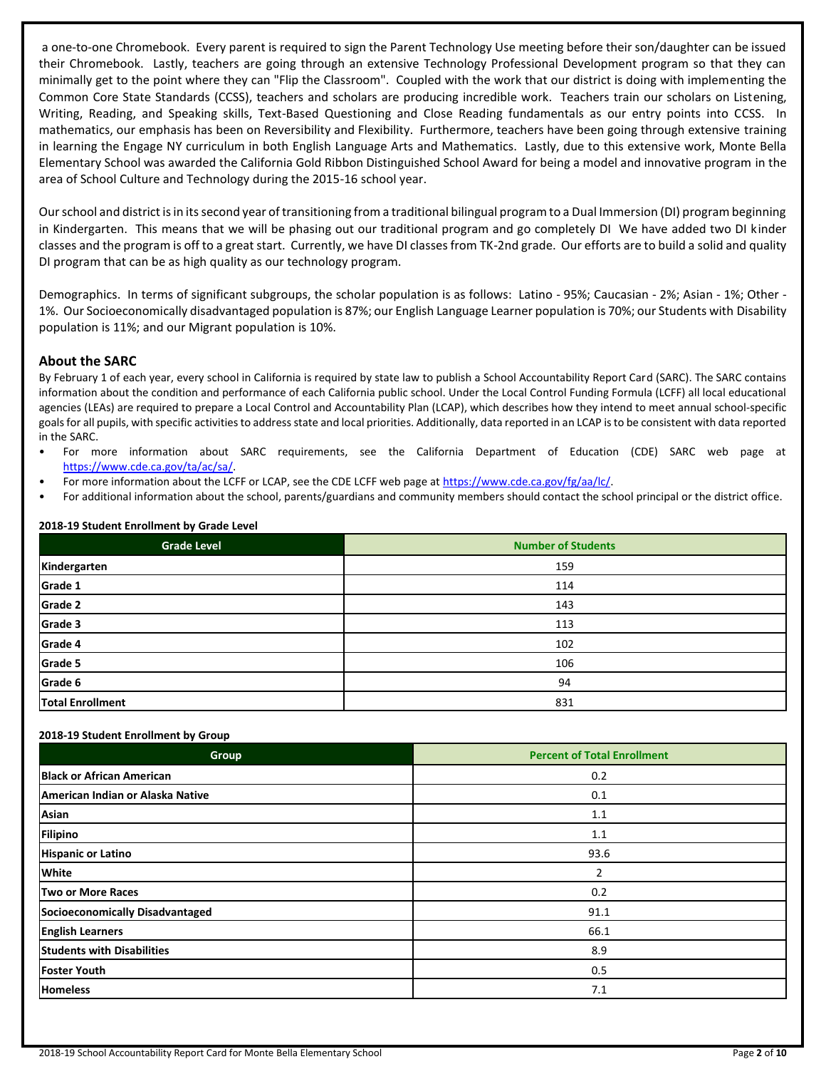a one-to-one Chromebook. Every parent is required to sign the Parent Technology Use meeting before their son/daughter can be issued their Chromebook. Lastly, teachers are going through an extensive Technology Professional Development program so that they can minimally get to the point where they can "Flip the Classroom". Coupled with the work that our district is doing with implementing the Common Core State Standards (CCSS), teachers and scholars are producing incredible work. Teachers train our scholars on Listening, Writing, Reading, and Speaking skills, Text-Based Questioning and Close Reading fundamentals as our entry points into CCSS. In mathematics, our emphasis has been on Reversibility and Flexibility. Furthermore, teachers have been going through extensive training in learning the Engage NY curriculum in both English Language Arts and Mathematics. Lastly, due to this extensive work, Monte Bella Elementary School was awarded the California Gold Ribbon Distinguished School Award for being a model and innovative program in the area of School Culture and Technology during the 2015-16 school year.

Our school and district is in its second year of transitioning from a traditional bilingual program to a Dual Immersion (DI) program beginning in Kindergarten. This means that we will be phasing out our traditional program and go completely DI We have added two DI kinder classes and the program is off to a great start. Currently, we have DI classes from TK-2nd grade. Our efforts are to build a solid and quality DI program that can be as high quality as our technology program.

Demographics. In terms of significant subgroups, the scholar population is as follows: Latino - 95%; Caucasian - 2%; Asian - 1%; Other - 1%. Our Socioeconomically disadvantaged population is 87%; our English Language Learner population is 70%; our Students with Disability population is 11%; and our Migrant population is 10%.

## **About the SARC**

By February 1 of each year, every school in California is required by state law to publish a School Accountability Report Card (SARC). The SARC contains information about the condition and performance of each California public school. Under the Local Control Funding Formula (LCFF) all local educational agencies (LEAs) are required to prepare a Local Control and Accountability Plan (LCAP), which describes how they intend to meet annual school-specific goals for all pupils, with specific activities to address state and local priorities. Additionally, data reported in an LCAP is to be consistent with data reported in the SARC.

- For more information about SARC requirements, see the California Department of Education (CDE) SARC web page at [https://www.cde.ca.gov/ta/ac/sa/.](https://www.cde.ca.gov/ta/ac/sa/)
- For more information about the LCFF or LCAP, see the CDE LCFF web page a[t https://www.cde.ca.gov/fg/aa/lc/.](https://www.cde.ca.gov/fg/aa/lc/)
- For additional information about the school, parents/guardians and community members should contact the school principal or the district office.

| <b>Grade Level</b>      | <b>Number of Students</b> |
|-------------------------|---------------------------|
| Kindergarten            | 159                       |
| Grade 1                 | 114                       |
| Grade 2                 | 143                       |
| Grade 3                 | 113                       |
| Grade 4                 | 102                       |
| Grade 5                 | 106                       |
| Grade 6                 | 94                        |
| <b>Total Enrollment</b> | 831                       |

#### **2018-19 Student Enrollment by Grade Level**

#### **2018-19 Student Enrollment by Group**

| Group                             | <b>Percent of Total Enrollment</b> |
|-----------------------------------|------------------------------------|
| <b>Black or African American</b>  | 0.2                                |
| American Indian or Alaska Native  | 0.1                                |
| Asian                             | 1.1                                |
| Filipino                          | 1.1                                |
| <b>Hispanic or Latino</b>         | 93.6                               |
| <b>White</b>                      | 2                                  |
| Two or More Races                 | 0.2                                |
| Socioeconomically Disadvantaged   | 91.1                               |
| <b>English Learners</b>           | 66.1                               |
| <b>Students with Disabilities</b> | 8.9                                |
| <b>Foster Youth</b>               | 0.5                                |
| <b>Homeless</b>                   | 7.1                                |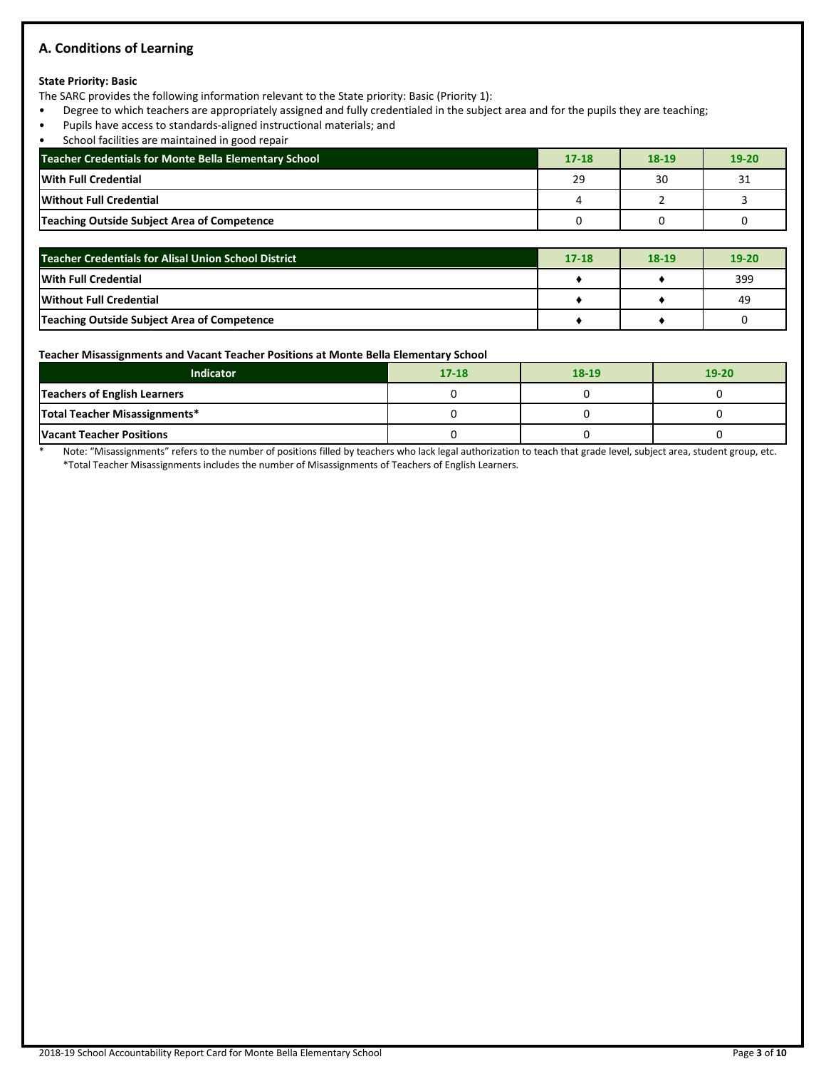## **A. Conditions of Learning**

#### **State Priority: Basic**

The SARC provides the following information relevant to the State priority: Basic (Priority 1):

- Degree to which teachers are appropriately assigned and fully credentialed in the subject area and for the pupils they are teaching;
- Pupils have access to standards-aligned instructional materials; and
- School facilities are maintained in good repair

| Teacher Credentials for Monte Bella Elementary School | $17 - 18$ | 18-19 | $19 - 20$ |
|-------------------------------------------------------|-----------|-------|-----------|
| With Full Credential                                  | 29        | 30    | 31        |
| Without Full Credential                               |           |       |           |
| Teaching Outside Subject Area of Competence           |           |       |           |

| Teacher Credentials for Alisal Union School District | $17 - 18$ | 18-19 | $19-20$ |
|------------------------------------------------------|-----------|-------|---------|
| <b>With Full Credential</b>                          |           |       | 399     |
| <b>Without Full Credential</b>                       |           |       | 49      |
| Teaching Outside Subject Area of Competence          |           |       |         |

#### **Teacher Misassignments and Vacant Teacher Positions at Monte Bella Elementary School**

| <b>Indicator</b>                    | $17 - 18$ | 18-19 | $19 - 20$ |
|-------------------------------------|-----------|-------|-----------|
| <b>Teachers of English Learners</b> |           |       |           |
| Total Teacher Misassignments*       |           |       |           |
| <b>Vacant Teacher Positions</b>     |           |       |           |

\* Note: "Misassignments" refers to the number of positions filled by teachers who lack legal authorization to teach that grade level, subject area, student group, etc. \*Total Teacher Misassignments includes the number of Misassignments of Teachers of English Learners.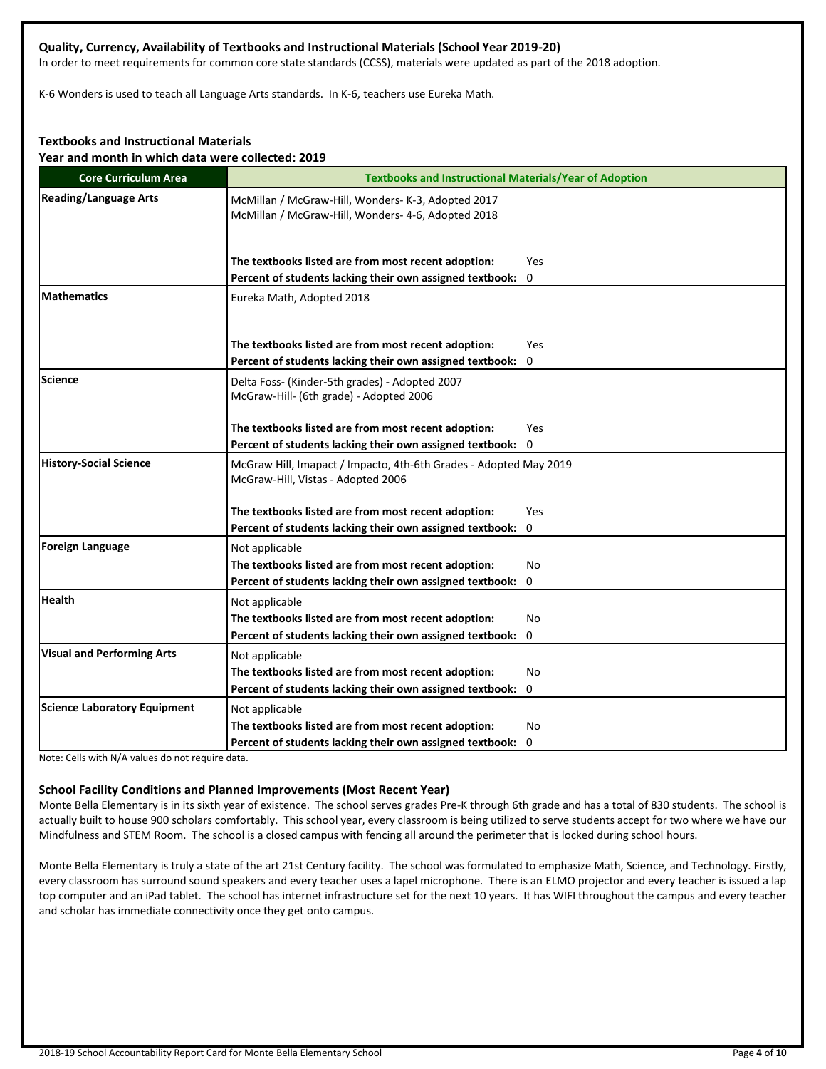#### **Quality, Currency, Availability of Textbooks and Instructional Materials (School Year 2019-20)**

In order to meet requirements for common core state standards (CCSS), materials were updated as part of the 2018 adoption.

K-6 Wonders is used to teach all Language Arts standards. In K-6, teachers use Eureka Math.

#### **Textbooks and Instructional Materials**

**Year and month in which data were collected: 2019**

| <b>Core Curriculum Area</b>         | <b>Textbooks and Instructional Materials/Year of Adoption</b>                                                                                                                                           |  |  |  |
|-------------------------------------|---------------------------------------------------------------------------------------------------------------------------------------------------------------------------------------------------------|--|--|--|
| <b>Reading/Language Arts</b>        | McMillan / McGraw-Hill, Wonders- K-3, Adopted 2017<br>McMillan / McGraw-Hill, Wonders- 4-6, Adopted 2018                                                                                                |  |  |  |
|                                     | The textbooks listed are from most recent adoption:<br>Yes                                                                                                                                              |  |  |  |
| <b>Mathematics</b>                  | Percent of students lacking their own assigned textbook:<br>$\mathbf 0$<br>Eureka Math, Adopted 2018                                                                                                    |  |  |  |
|                                     | The textbooks listed are from most recent adoption:<br>Yes<br>Percent of students lacking their own assigned textbook: 0                                                                                |  |  |  |
| <b>Science</b>                      | Delta Foss- (Kinder-5th grades) - Adopted 2007<br>McGraw-Hill- (6th grade) - Adopted 2006                                                                                                               |  |  |  |
|                                     | The textbooks listed are from most recent adoption:<br>Yes<br>Percent of students lacking their own assigned textbook: 0                                                                                |  |  |  |
| <b>History-Social Science</b>       | McGraw Hill, Imapact / Impacto, 4th-6th Grades - Adopted May 2019<br>McGraw-Hill, Vistas - Adopted 2006                                                                                                 |  |  |  |
|                                     | The textbooks listed are from most recent adoption:<br>Yes                                                                                                                                              |  |  |  |
| <b>Foreign Language</b>             | Percent of students lacking their own assigned textbook: 0<br>Not applicable<br>The textbooks listed are from most recent adoption:<br>No<br>Percent of students lacking their own assigned textbook: 0 |  |  |  |
| <b>Health</b>                       | Not applicable<br>The textbooks listed are from most recent adoption:<br>No<br>Percent of students lacking their own assigned textbook: 0                                                               |  |  |  |
| <b>Visual and Performing Arts</b>   | Not applicable<br>The textbooks listed are from most recent adoption:<br>No<br>Percent of students lacking their own assigned textbook: 0                                                               |  |  |  |
| <b>Science Laboratory Equipment</b> | Not applicable<br>The textbooks listed are from most recent adoption:<br>No<br>Percent of students lacking their own assigned textbook: 0                                                               |  |  |  |

Note: Cells with N/A values do not require data.

#### **School Facility Conditions and Planned Improvements (Most Recent Year)**

Monte Bella Elementary is in its sixth year of existence. The school serves grades Pre-K through 6th grade and has a total of 830 students. The school is actually built to house 900 scholars comfortably. This school year, every classroom is being utilized to serve students accept for two where we have our Mindfulness and STEM Room. The school is a closed campus with fencing all around the perimeter that is locked during school hours.

Monte Bella Elementary is truly a state of the art 21st Century facility. The school was formulated to emphasize Math, Science, and Technology. Firstly, every classroom has surround sound speakers and every teacher uses a lapel microphone. There is an ELMO projector and every teacher is issued a lap top computer and an iPad tablet. The school has internet infrastructure set for the next 10 years. It has WIFI throughout the campus and every teacher and scholar has immediate connectivity once they get onto campus.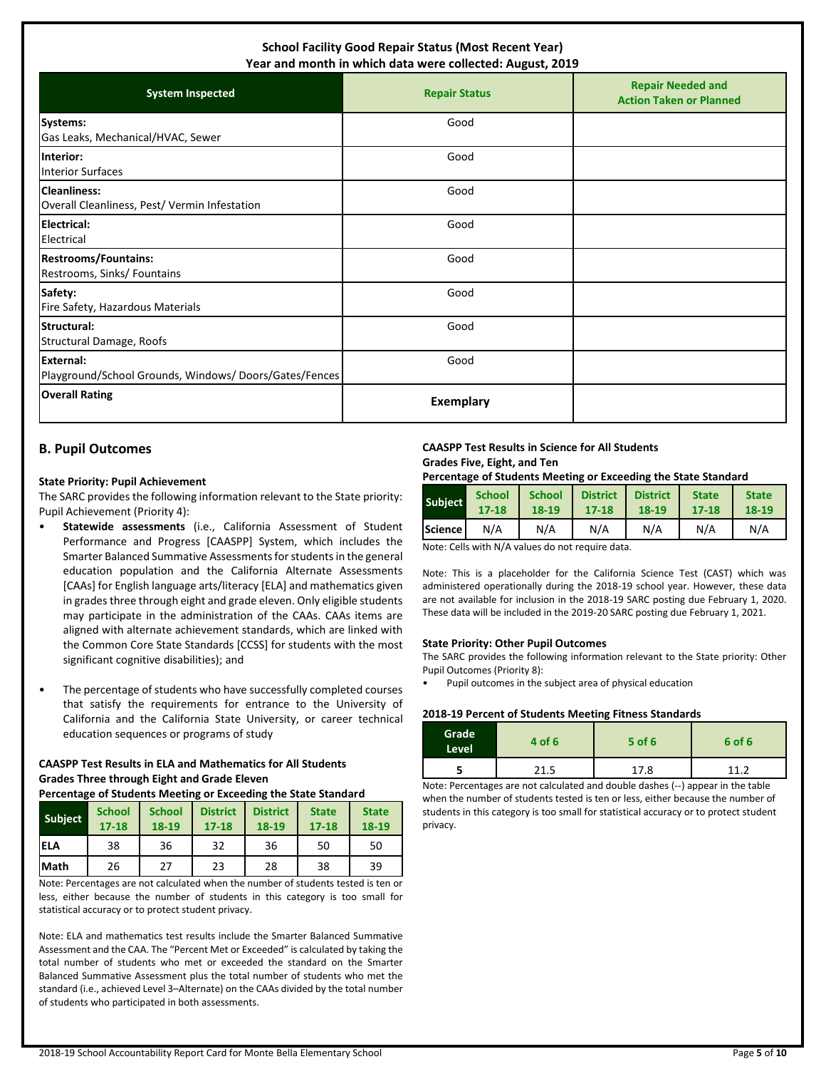#### **School Facility Good Repair Status (Most Recent Year) Year and month in which data were collected: August, 2019**

| icai and month in winch data were conceted. August, 2015                  |                      |                                                            |  |  |  |
|---------------------------------------------------------------------------|----------------------|------------------------------------------------------------|--|--|--|
| <b>System Inspected</b>                                                   | <b>Repair Status</b> | <b>Repair Needed and</b><br><b>Action Taken or Planned</b> |  |  |  |
| Systems:<br>Gas Leaks, Mechanical/HVAC, Sewer                             | Good                 |                                                            |  |  |  |
| Interior:<br><b>Interior Surfaces</b>                                     | Good                 |                                                            |  |  |  |
| <b>Cleanliness:</b><br>Overall Cleanliness, Pest/ Vermin Infestation      | Good                 |                                                            |  |  |  |
| <b>Electrical:</b><br>Electrical                                          | Good                 |                                                            |  |  |  |
| <b>Restrooms/Fountains:</b><br>Restrooms, Sinks/ Fountains                | Good                 |                                                            |  |  |  |
| Safety:<br>Fire Safety, Hazardous Materials                               | Good                 |                                                            |  |  |  |
| Structural:<br>Structural Damage, Roofs                                   | Good                 |                                                            |  |  |  |
| <b>External:</b><br>Playground/School Grounds, Windows/Doors/Gates/Fences | Good                 |                                                            |  |  |  |
| <b>Overall Rating</b>                                                     | <b>Exemplary</b>     |                                                            |  |  |  |

## **B. Pupil Outcomes**

#### **State Priority: Pupil Achievement**

The SARC provides the following information relevant to the State priority: Pupil Achievement (Priority 4):

- **Statewide assessments** (i.e., California Assessment of Student Performance and Progress [CAASPP] System, which includes the Smarter Balanced Summative Assessments for students in the general education population and the California Alternate Assessments [CAAs] for English language arts/literacy [ELA] and mathematics given in grades three through eight and grade eleven. Only eligible students may participate in the administration of the CAAs. CAAs items are aligned with alternate achievement standards, which are linked with the Common Core State Standards [CCSS] for students with the most significant cognitive disabilities); and
- The percentage of students who have successfully completed courses that satisfy the requirements for entrance to the University of California and the California State University, or career technical education sequences or programs of study

## **CAASPP Test Results in ELA and Mathematics for All Students Grades Three through Eight and Grade Eleven**

#### **Percentage of Students Meeting or Exceeding the State Standard**

| Subject     | <b>School</b><br>$17 - 18$ | <b>School</b><br>18-19 | <b>District</b><br>$17 - 18$ | <b>District</b><br>18-19 | <b>State</b><br>$17 - 18$ | <b>State</b><br>18-19 |
|-------------|----------------------------|------------------------|------------------------------|--------------------------|---------------------------|-----------------------|
| <b>IELA</b> | 38                         | 36                     | 32                           | 36                       | 50                        | 50                    |
| <b>Math</b> | 26                         | 27                     | 23                           | 28                       | 38                        | 39                    |

Note: Percentages are not calculated when the number of students tested is ten or less, either because the number of students in this category is too small for statistical accuracy or to protect student privacy.

Note: ELA and mathematics test results include the Smarter Balanced Summative Assessment and the CAA. The "Percent Met or Exceeded" is calculated by taking the total number of students who met or exceeded the standard on the Smarter Balanced Summative Assessment plus the total number of students who met the standard (i.e., achieved Level 3–Alternate) on the CAAs divided by the total number of students who participated in both assessments.

#### **CAASPP Test Results in Science for All Students Grades Five, Eight, and Ten**

**Percentage of Students Meeting or Exceeding the State Standard**

| <b>Subject</b> | <b>School</b><br>$17 - 18$ | <b>School</b><br>18-19                                                                                                                                                                                                           | <b>District</b><br>$17 - 18$ | <b>District</b><br>18-19 | <b>State</b><br>$17 - 18$ | <b>State</b><br>18-19 |
|----------------|----------------------------|----------------------------------------------------------------------------------------------------------------------------------------------------------------------------------------------------------------------------------|------------------------------|--------------------------|---------------------------|-----------------------|
| <b>Science</b> | N/A                        | N/A                                                                                                                                                                                                                              | N/A                          | N/A                      | N/A                       | N/A                   |
|                |                            | $\mathbf{a}$ , and the set of the set of the set of the set of the set of the set of the set of the set of the set of the set of the set of the set of the set of the set of the set of the set of the set of the set of the set |                              |                          |                           |                       |

Note: Cells with N/A values do not require data.

Note: This is a placeholder for the California Science Test (CAST) which was administered operationally during the 2018-19 school year. However, these data are not available for inclusion in the 2018-19 SARC posting due February 1, 2020. These data will be included in the 2019-20 SARC posting due February 1, 2021.

#### **State Priority: Other Pupil Outcomes**

The SARC provides the following information relevant to the State priority: Other Pupil Outcomes (Priority 8):

Pupil outcomes in the subject area of physical education

#### **2018-19 Percent of Students Meeting Fitness Standards**

| Grade<br>Level | 4 of 6 | $5$ of 6 | 6 of 6 |
|----------------|--------|----------|--------|
|                | 21.5   | 17.8     | 11 ว   |

Note: Percentages are not calculated and double dashes (--) appear in the table when the number of students tested is ten or less, either because the number of students in this category is too small for statistical accuracy or to protect student privacy.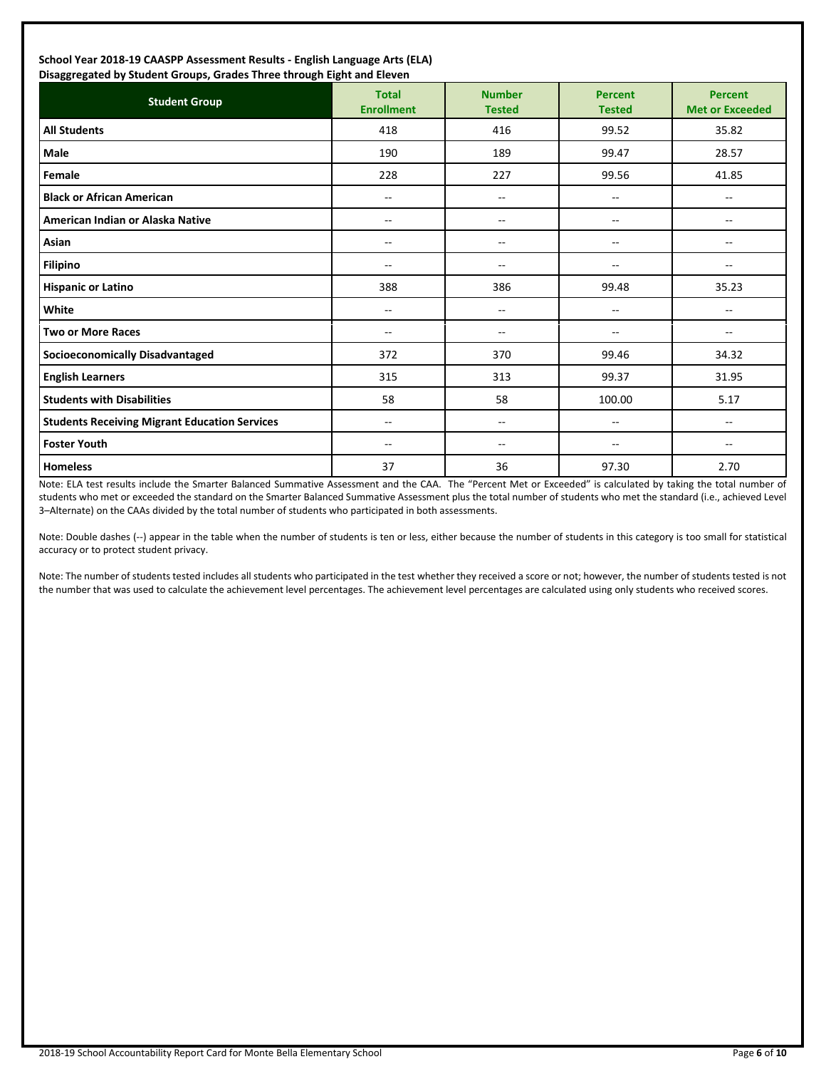#### **School Year 2018-19 CAASPP Assessment Results - English Language Arts (ELA) Disaggregated by Student Groups, Grades Three through Eight and Eleven**

| Proggregated by Stadent Groups, Grades Timed through Eight and Eleven<br><b>Student Group</b> | <b>Total</b><br><b>Enrollment</b> | <b>Number</b><br><b>Tested</b> | <b>Percent</b><br><b>Tested</b> | <b>Percent</b><br><b>Met or Exceeded</b> |
|-----------------------------------------------------------------------------------------------|-----------------------------------|--------------------------------|---------------------------------|------------------------------------------|
| <b>All Students</b>                                                                           | 418                               | 416                            | 99.52                           | 35.82                                    |
| <b>Male</b>                                                                                   | 190                               | 189                            | 99.47                           | 28.57                                    |
| Female                                                                                        | 228                               | 227                            | 99.56                           | 41.85                                    |
| <b>Black or African American</b>                                                              | --                                | $\overline{\phantom{m}}$       | $\overline{\phantom{m}}$        | $\overline{\phantom{m}}$                 |
| American Indian or Alaska Native                                                              | $-$                               | $-$                            | --                              | --                                       |
| Asian                                                                                         | --                                | $\overline{\phantom{m}}$       | $\overline{\phantom{a}}$        | ۰.                                       |
| <b>Filipino</b>                                                                               | --                                | $-$                            | --                              | --                                       |
| <b>Hispanic or Latino</b>                                                                     | 388                               | 386                            | 99.48                           | 35.23                                    |
| White                                                                                         | $-$                               | $\overline{\phantom{a}}$       | $\overline{\phantom{a}}$        | $- -$                                    |
| <b>Two or More Races</b>                                                                      | --                                | $-$                            | --                              | ۰.                                       |
| <b>Socioeconomically Disadvantaged</b>                                                        | 372                               | 370                            | 99.46                           | 34.32                                    |
| <b>English Learners</b>                                                                       | 315                               | 313                            | 99.37                           | 31.95                                    |
| <b>Students with Disabilities</b>                                                             | 58                                | 58                             | 100.00                          | 5.17                                     |
| <b>Students Receiving Migrant Education Services</b>                                          | --                                | $\overline{\phantom{m}}$       | $\overline{\phantom{a}}$        | $\sim$                                   |
| <b>Foster Youth</b>                                                                           | --                                | $\overline{\phantom{a}}$       | --                              | --                                       |
| <b>Homeless</b>                                                                               | 37                                | 36                             | 97.30                           | 2.70                                     |

Note: ELA test results include the Smarter Balanced Summative Assessment and the CAA. The "Percent Met or Exceeded" is calculated by taking the total number of students who met or exceeded the standard on the Smarter Balanced Summative Assessment plus the total number of students who met the standard (i.e., achieved Level 3–Alternate) on the CAAs divided by the total number of students who participated in both assessments.

Note: Double dashes (--) appear in the table when the number of students is ten or less, either because the number of students in this category is too small for statistical accuracy or to protect student privacy.

Note: The number of students tested includes all students who participated in the test whether they received a score or not; however, the number of students tested is not the number that was used to calculate the achievement level percentages. The achievement level percentages are calculated using only students who received scores.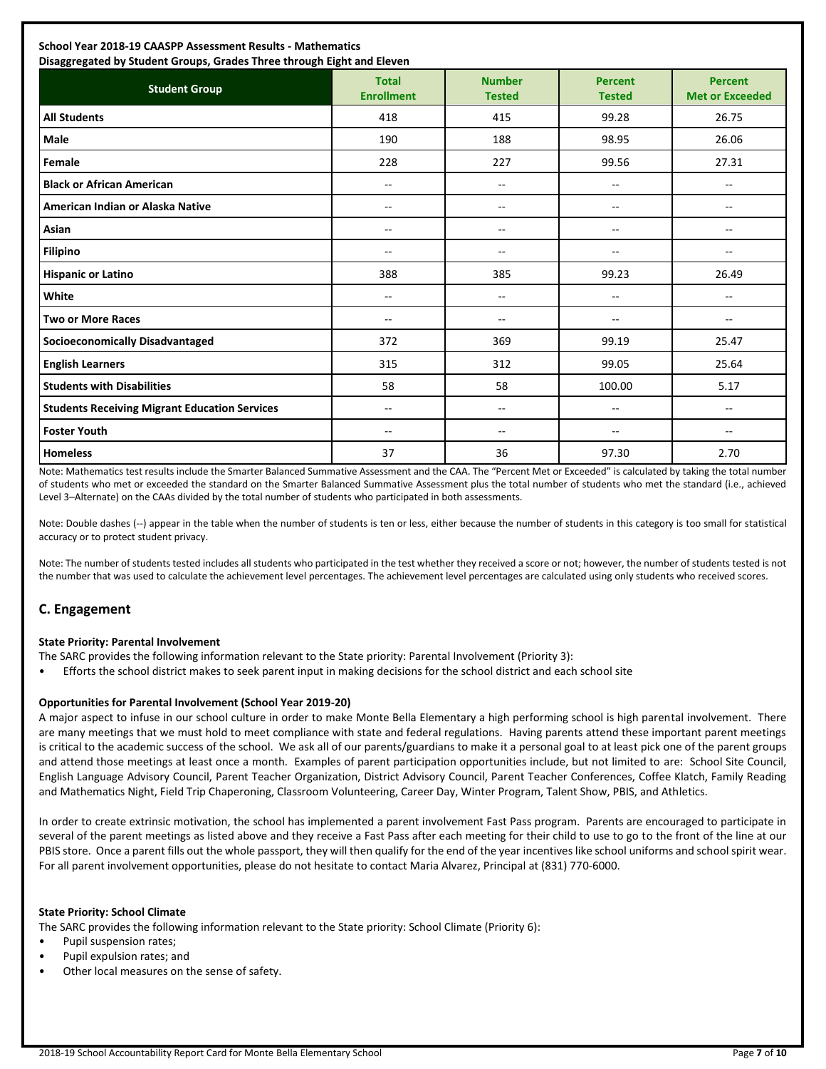| <b>Student Group</b>                                 | <b>Total</b><br><b>Enrollment</b> | <b>Number</b><br><b>Tested</b> | <b>Percent</b><br><b>Tested</b> | <b>Percent</b><br><b>Met or Exceeded</b> |
|------------------------------------------------------|-----------------------------------|--------------------------------|---------------------------------|------------------------------------------|
| <b>All Students</b>                                  | 418                               | 415                            | 99.28                           | 26.75                                    |
| <b>Male</b>                                          | 190                               | 188                            | 98.95                           | 26.06                                    |
| Female                                               | 228                               | 227                            | 99.56                           | 27.31                                    |
| <b>Black or African American</b>                     | $-$                               | $\overline{a}$                 | $\overline{a}$                  | $- -$                                    |
| American Indian or Alaska Native                     | $-$                               | ۰.                             | $\overline{a}$                  | $-$                                      |
| Asian                                                | $-$                               | $- -$                          | $\frac{1}{2}$                   | $\overline{a}$                           |
| <b>Filipino</b>                                      | --                                | $- -$                          | --                              | $-$                                      |
| <b>Hispanic or Latino</b>                            | 388                               | 385                            | 99.23                           | 26.49                                    |
| White                                                | --                                | $- -$                          | $\frac{1}{2}$                   | $-$                                      |
| <b>Two or More Races</b>                             | $-$                               | --                             | --                              | $-$                                      |
| <b>Socioeconomically Disadvantaged</b>               | 372                               | 369                            | 99.19                           | 25.47                                    |
| <b>English Learners</b>                              | 315                               | 312                            | 99.05                           | 25.64                                    |
| <b>Students with Disabilities</b>                    | 58                                | 58                             | 100.00                          | 5.17                                     |
| <b>Students Receiving Migrant Education Services</b> | --                                | --                             | --                              | --                                       |
| <b>Foster Youth</b>                                  | --                                | --                             | --                              | $-$                                      |
| <b>Homeless</b>                                      | 37                                | 36                             | 97.30                           | 2.70                                     |

Note: Mathematics test results include the Smarter Balanced Summative Assessment and the CAA. The "Percent Met or Exceeded" is calculated by taking the total number of students who met or exceeded the standard on the Smarter Balanced Summative Assessment plus the total number of students who met the standard (i.e., achieved Level 3–Alternate) on the CAAs divided by the total number of students who participated in both assessments.

Note: Double dashes (--) appear in the table when the number of students is ten or less, either because the number of students in this category is too small for statistical accuracy or to protect student privacy.

Note: The number of students tested includes all students who participated in the test whether they received a score or not; however, the number of students tested is not the number that was used to calculate the achievement level percentages. The achievement level percentages are calculated using only students who received scores.

## **C. Engagement**

#### **State Priority: Parental Involvement**

The SARC provides the following information relevant to the State priority: Parental Involvement (Priority 3):

• Efforts the school district makes to seek parent input in making decisions for the school district and each school site

#### **Opportunities for Parental Involvement (School Year 2019-20)**

A major aspect to infuse in our school culture in order to make Monte Bella Elementary a high performing school is high parental involvement. There are many meetings that we must hold to meet compliance with state and federal regulations. Having parents attend these important parent meetings is critical to the academic success of the school. We ask all of our parents/guardians to make it a personal goal to at least pick one of the parent groups and attend those meetings at least once a month. Examples of parent participation opportunities include, but not limited to are: School Site Council, English Language Advisory Council, Parent Teacher Organization, District Advisory Council, Parent Teacher Conferences, Coffee Klatch, Family Reading and Mathematics Night, Field Trip Chaperoning, Classroom Volunteering, Career Day, Winter Program, Talent Show, PBIS, and Athletics.

In order to create extrinsic motivation, the school has implemented a parent involvement Fast Pass program. Parents are encouraged to participate in several of the parent meetings as listed above and they receive a Fast Pass after each meeting for their child to use to go to the front of the line at our PBIS store. Once a parent fills out the whole passport, they will then qualify for the end of the year incentives like school uniforms and school spirit wear. For all parent involvement opportunities, please do not hesitate to contact Maria Alvarez, Principal at (831) 770-6000.

#### **State Priority: School Climate**

The SARC provides the following information relevant to the State priority: School Climate (Priority 6):

- Pupil suspension rates;
- Pupil expulsion rates; and
- Other local measures on the sense of safety.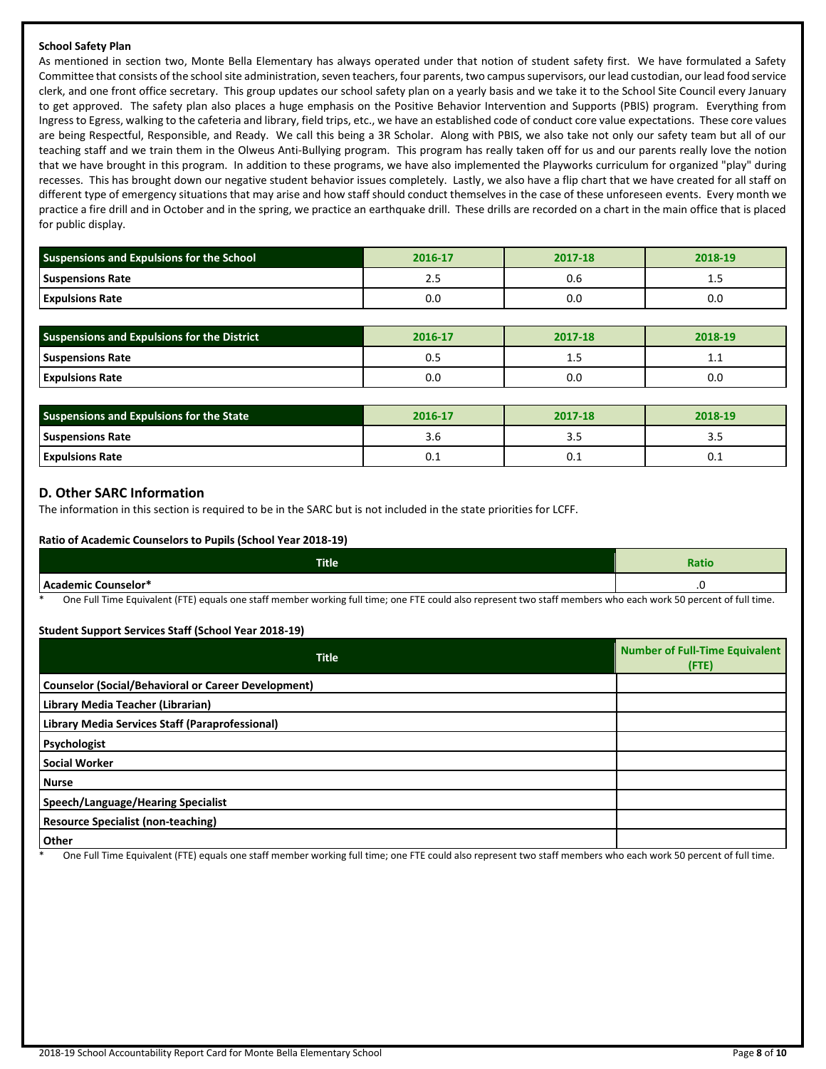#### **School Safety Plan**

As mentioned in section two, Monte Bella Elementary has always operated under that notion of student safety first. We have formulated a Safety Committee that consists of the school site administration, seven teachers, four parents, two campus supervisors, our lead custodian, our lead food service clerk, and one front office secretary. This group updates our school safety plan on a yearly basis and we take it to the School Site Council every January to get approved. The safety plan also places a huge emphasis on the Positive Behavior Intervention and Supports (PBIS) program. Everything from Ingress to Egress, walking to the cafeteria and library, field trips, etc., we have an established code of conduct core value expectations. These core values are being Respectful, Responsible, and Ready. We call this being a 3R Scholar. Along with PBIS, we also take not only our safety team but all of our teaching staff and we train them in the Olweus Anti-Bullying program. This program has really taken off for us and our parents really love the notion that we have brought in this program. In addition to these programs, we have also implemented the Playworks curriculum for organized "play" during recesses. This has brought down our negative student behavior issues completely. Lastly, we also have a flip chart that we have created for all staff on different type of emergency situations that may arise and how staff should conduct themselves in the case of these unforeseen events. Every month we practice a fire drill and in October and in the spring, we practice an earthquake drill. These drills are recorded on a chart in the main office that is placed for public display.

| <b>Suspensions and Expulsions for the School</b> | 2016-17 | 2017-18 | 2018-19 |
|--------------------------------------------------|---------|---------|---------|
| <b>Suspensions Rate</b>                          | ـ       | U.b     | ---     |
| <b>Expulsions Rate</b>                           | o.c     | 0.O     | 0.0     |

| <b>Suspensions and Expulsions for the District</b> | 2016-17 | 2017-18 | 2018-19 |
|----------------------------------------------------|---------|---------|---------|
| <b>Suspensions Rate</b>                            | U. .    | <b></b> | ᆠᆞᆠ     |
| <b>Expulsions Rate</b>                             | 0.0     | 0.C     | 0.0     |

| Suspensions and Expulsions for the State | 2016-17 | 2017-18 | 2018-19 |  |
|------------------------------------------|---------|---------|---------|--|
| <b>Suspensions Rate</b>                  | 3.C     | ۔ ۔ ۔   | ر. د    |  |
| <b>Expulsions Rate</b>                   | U. L    | ∪.⊥     | v.⊥     |  |

#### **D. Other SARC Information**

The information in this section is required to be in the SARC but is not included in the state priorities for LCFF.

#### **Ratio of Academic Counselors to Pupils (School Year 2018-19)**

| <b>Title</b>                                                                                        | Ratio                                      |
|-----------------------------------------------------------------------------------------------------|--------------------------------------------|
| Academic Counselor*<br>hcal                                                                         | .                                          |
| $\sim$<br>$\sim$ $\sim$ $\sim$<br>.<br>$   -$<br>$\sim$<br>.<br>$\cdot$ $  \cdot$<br>____<br>$\sim$ | $\sim$ $\sim$ $\sim$ $\sim$<br>$\sim$ $ -$ |

One Full Time Equivalent (FTE) equals one staff member working full time; one FTE could also represent two staff members who each work 50 percent of full time.

#### **Student Support Services Staff (School Year 2018-19)**

| <b>Title</b>                                               | <b>Number of Full-Time Equivalent</b><br>(FTE) |
|------------------------------------------------------------|------------------------------------------------|
| <b>Counselor (Social/Behavioral or Career Development)</b> |                                                |
| Library Media Teacher (Librarian)                          |                                                |
| Library Media Services Staff (Paraprofessional)            |                                                |
| Psychologist                                               |                                                |
| <b>Social Worker</b>                                       |                                                |
| <b>Nurse</b>                                               |                                                |
| Speech/Language/Hearing Specialist                         |                                                |
| <b>Resource Specialist (non-teaching)</b>                  |                                                |
| Other                                                      |                                                |

One Full Time Equivalent (FTE) equals one staff member working full time; one FTE could also represent two staff members who each work 50 percent of full time.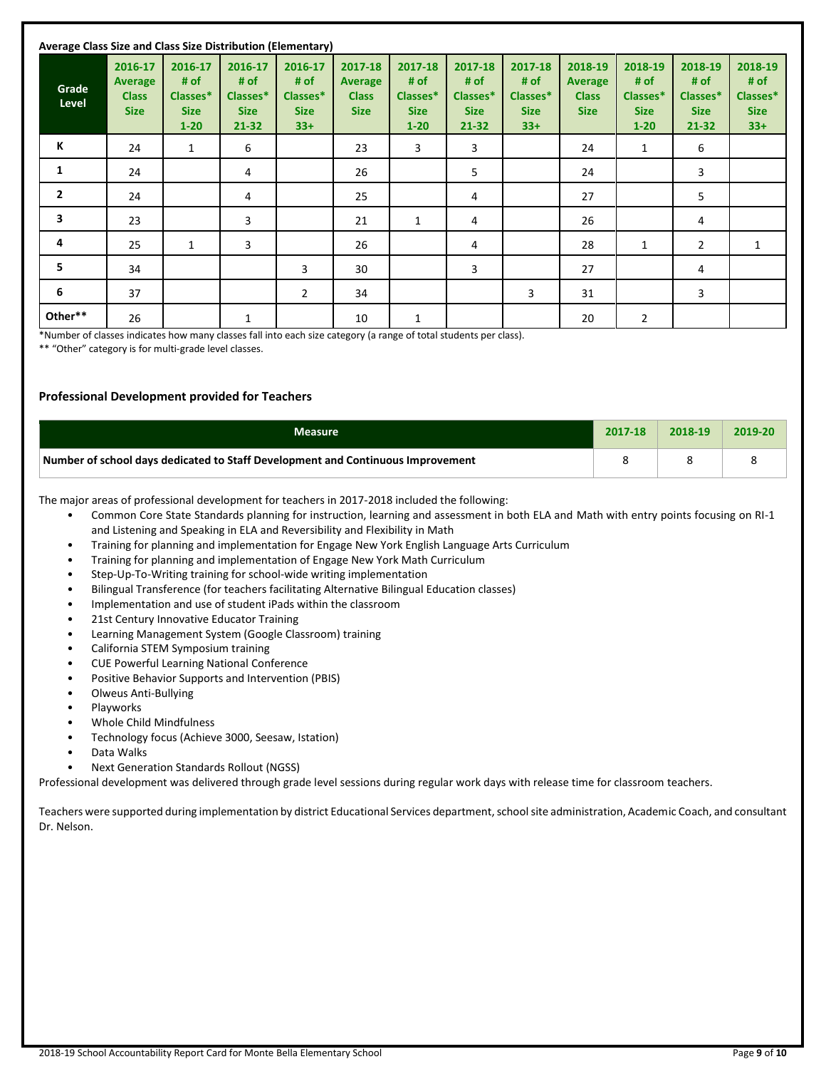| Average Class Size and Class Size Distribution (Elementary) |                                                          |                                                        |                                                         |                                                     |                                                          |                                                        |                                                     |                                                     |                                                          |                                                        |                                                         |                                                     |
|-------------------------------------------------------------|----------------------------------------------------------|--------------------------------------------------------|---------------------------------------------------------|-----------------------------------------------------|----------------------------------------------------------|--------------------------------------------------------|-----------------------------------------------------|-----------------------------------------------------|----------------------------------------------------------|--------------------------------------------------------|---------------------------------------------------------|-----------------------------------------------------|
| Grade<br>Level                                              | 2016-17<br><b>Average</b><br><b>Class</b><br><b>Size</b> | 2016-17<br># of<br>Classes*<br><b>Size</b><br>$1 - 20$ | 2016-17<br># of<br>Classes*<br><b>Size</b><br>$21 - 32$ | 2016-17<br># of<br>Classes*<br><b>Size</b><br>$33+$ | 2017-18<br><b>Average</b><br><b>Class</b><br><b>Size</b> | 2017-18<br># of<br>Classes*<br><b>Size</b><br>$1 - 20$ | 2017-18<br># of<br>Classes*<br><b>Size</b><br>21-32 | 2017-18<br># of<br>Classes*<br><b>Size</b><br>$33+$ | 2018-19<br><b>Average</b><br><b>Class</b><br><b>Size</b> | 2018-19<br># of<br>Classes*<br><b>Size</b><br>$1 - 20$ | 2018-19<br># of<br>Classes*<br><b>Size</b><br>$21 - 32$ | 2018-19<br># of<br>Classes*<br><b>Size</b><br>$33+$ |
| К                                                           | 24                                                       | 1                                                      | 6                                                       |                                                     | 23                                                       | 3                                                      | 3                                                   |                                                     | 24                                                       | $\mathbf{1}$                                           | 6                                                       |                                                     |
| 1                                                           | 24                                                       |                                                        | 4                                                       |                                                     | 26                                                       |                                                        | 5                                                   |                                                     | 24                                                       |                                                        | 3                                                       |                                                     |
| $\overline{2}$                                              | 24                                                       |                                                        | 4                                                       |                                                     | 25                                                       |                                                        | 4                                                   |                                                     | 27                                                       |                                                        | 5                                                       |                                                     |
| 3                                                           | 23                                                       |                                                        | 3                                                       |                                                     | 21                                                       | $\mathbf{1}$                                           | 4                                                   |                                                     | 26                                                       |                                                        | 4                                                       |                                                     |
| 4                                                           | 25                                                       | 1                                                      | 3                                                       |                                                     | 26                                                       |                                                        | 4                                                   |                                                     | 28                                                       | 1                                                      | $\overline{2}$                                          | $\mathbf{1}$                                        |
| 5                                                           | 34                                                       |                                                        |                                                         | 3                                                   | 30                                                       |                                                        | 3                                                   |                                                     | 27                                                       |                                                        | 4                                                       |                                                     |
| 6                                                           | 37                                                       |                                                        |                                                         | $\overline{2}$                                      | 34                                                       |                                                        |                                                     | 3                                                   | 31                                                       |                                                        | 3                                                       |                                                     |
| Other**                                                     | 26                                                       |                                                        | 1                                                       |                                                     | 10                                                       | 1                                                      |                                                     |                                                     | 20                                                       | $\overline{2}$                                         |                                                         |                                                     |

\*Number of classes indicates how many classes fall into each size category (a range of total students per class).

\*\* "Other" category is for multi-grade level classes.

#### **Professional Development provided for Teachers**

| <b>Measure</b>                                                                  | 2017-18 | 2018-19 | 2019-20 |
|---------------------------------------------------------------------------------|---------|---------|---------|
| Number of school days dedicated to Staff Development and Continuous Improvement |         |         |         |

The major areas of professional development for teachers in 2017-2018 included the following:

- Common Core State Standards planning for instruction, learning and assessment in both ELA and Math with entry points focusing on RI-1 and Listening and Speaking in ELA and Reversibility and Flexibility in Math
	- Training for planning and implementation for Engage New York English Language Arts Curriculum
	- Training for planning and implementation of Engage New York Math Curriculum
	- Step-Up-To-Writing training for school-wide writing implementation
	- Bilingual Transference (for teachers facilitating Alternative Bilingual Education classes)
	- Implementation and use of student iPads within the classroom
	- 21st Century Innovative Educator Training
- Learning Management System (Google Classroom) training
- California STEM Symposium training
- CUE Powerful Learning National Conference
- Positive Behavior Supports and Intervention (PBIS)
- Olweus Anti-Bullying
- Playworks
- Whole Child Mindfulness
- Technology focus (Achieve 3000, Seesaw, Istation)
- Data Walks
- Next Generation Standards Rollout (NGSS)

Professional development was delivered through grade level sessions during regular work days with release time for classroom teachers.

Teachers were supported during implementation by district Educational Services department, school site administration, Academic Coach, and consultant Dr. Nelson.